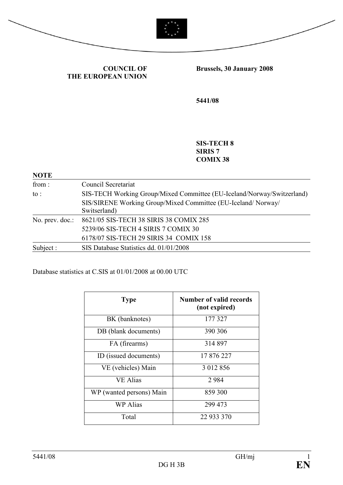



COUNCIL OF THE EUROPEAN UNION Brussels, 30 January 2008

5441/08

SIS-TECH 8 SIRIS 7 COMIX 38

| <b>NOTE</b>     |                                                                              |
|-----------------|------------------------------------------------------------------------------|
| from:           | Council Secretariat                                                          |
| $\mathsf{to}$ : | SIS-TECH Working Group/Mixed Committee (EU-Iceland/Norway/Switzerland)       |
|                 | SIS/SIRENE Working Group/Mixed Committee (EU-Iceland/Norway/<br>Switserland) |
| No. prev. doc.: | 8621/05 SIS-TECH 38 SIRIS 38 COMIX 285                                       |
|                 | 5239/06 SIS-TECH 4 SIRIS 7 COMIX 30                                          |
|                 | 6178/07 SIS-TECH 29 SIRIS 34 COMIX 158                                       |
| Subject:        | SIS Database Statistics dd. 01/01/2008                                       |

Database statistics at C.SIS at 01/01/2008 at 00.00 UTC

| <b>Type</b>              | Number of valid records<br>(not expired) |
|--------------------------|------------------------------------------|
| BK (banknotes)           | 177 327                                  |
| DB (blank documents)     | 390 306                                  |
| FA (firearms)            | 314 897                                  |
| ID (issued documents)    | 17 876 227                               |
| VE (vehicles) Main       | 3 012 856                                |
| <b>VE Alias</b>          | 2984                                     |
| WP (wanted persons) Main | 859 300                                  |
| <b>WP</b> Alias          | 299 473                                  |
| Total                    | 22 933 370                               |